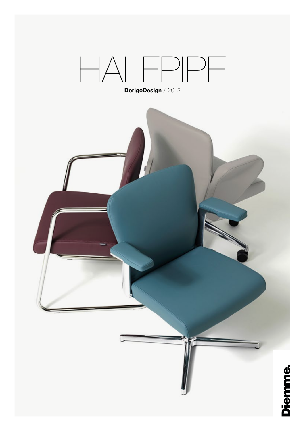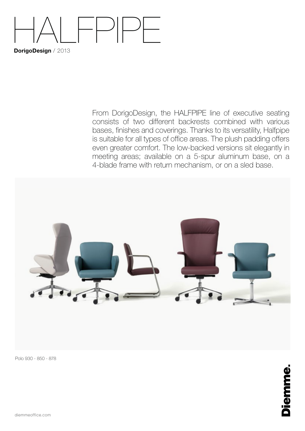## HALFPIPE **DorigoDesign** / 2013

From DorigoDesign, the HALFPIPE line of executive seating consists of two different backrests combined with various bases, finishes and coverings. Thanks to its versatility, Halfpipe is suitable for all types of office areas. The plush padding offers even greater comfort. The low-backed versions sit elegantly in meeting areas; available on a 5-spur aluminum base, on a 4-blade frame with return mechanism, or on a sled base.



Polo 930 - 850 - 878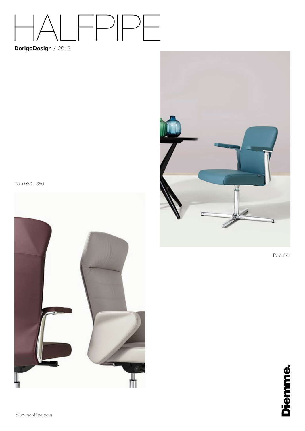# HALFPIPE

### **DorigoDesign** / 2013

J

Polo 878



Polo 930 - 850

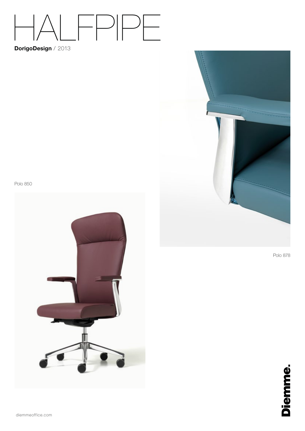### $\vdash\vdash$  $-$

### DorigoDesign / 2013

Polo 878



diemmeoffice.com